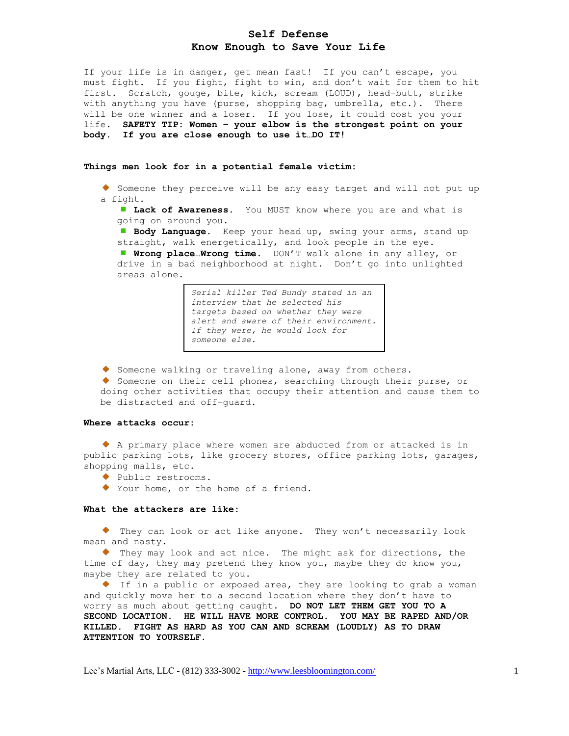# **Self Defense Know Enough to Save Your Life**

If your life is in danger, get mean fast! If you can't escape, you must fight. If you fight, fight to win, and don't wait for them to hit first. Scratch, gouge, bite, kick, scream (LOUD), head-butt, strike with anything you have (purse, shopping bag, umbrella, etc.). There will be one winner and a loser. If you lose, it could cost you your life. **SAFETY TIP: Women – your elbow is the strongest point on your body. If you are close enough to use it…DO IT!**

#### **Things men look for in a potential female victim:**

Someone they perceive will be any easy target and will not put up a fight.

**Lack of Awareness.** You MUST know where you are and what is going on around you.

**Body Language.** Keep your head up, swing your arms, stand up straight, walk energetically, and look people in the eye.

**Wrong place…Wrong time.** DON'T walk alone in any alley, or drive in a bad neighborhood at night. Don't go into unlighted areas alone.

> *Serial killer Ted Bundy stated in an interview that he selected his targets based on whether they were alert and aware of their environment. If they were, he would look for someone else.*

Someone walking or traveling alone, away from others.

Someone on their cell phones, searching through their purse, or doing other activities that occupy their attention and cause them to be distracted and off-guard.

# **Where attacks occur:**

 A primary place where women are abducted from or attacked is in public parking lots, like grocery stores, office parking lots, garages, shopping malls, etc.

• Public restrooms.

Your home, or the home of a friend.

# **What the attackers are like:**

 They can look or act like anyone. They won't necessarily look mean and nasty.

 They may look and act nice. The might ask for directions, the time of day, they may pretend they know you, maybe they do know you, maybe they are related to you.

 If in a public or exposed area, they are looking to grab a woman and quickly move her to a second location where they don't have to worry as much about getting caught. **DO NOT LET THEM GET YOU TO A SECOND LOCATION. HE WILL HAVE MORE CONTROL. YOU MAY BE RAPED AND/OR KILLED. FIGHT AS HARD AS YOU CAN AND SCREAM (LOUDLY) AS TO DRAW ATTENTION TO YOURSELF.**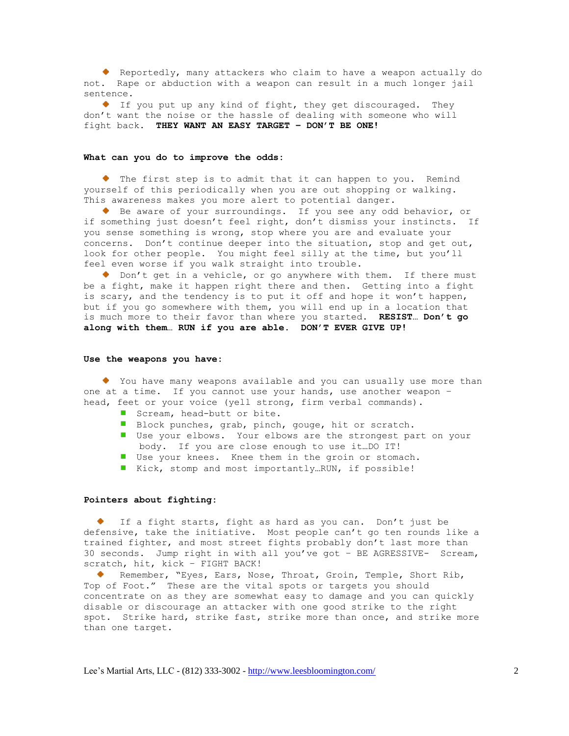Reportedly, many attackers who claim to have a weapon actually do not. Rape or abduction with a weapon can result in a much longer jail sentence.

 If you put up any kind of fight, they get discouraged. They don't want the noise or the hassle of dealing with someone who will fight back. **THEY WANT AN EASY TARGET – DON'T BE ONE!**

### **What can you do to improve the odds:**

The first step is to admit that it can happen to you. Remind yourself of this periodically when you are out shopping or walking. This awareness makes you more alert to potential danger.

Be aware of your surroundings. If you see any odd behavior, or if something just doesn't feel right, don't dismiss your instincts. If you sense something is wrong, stop where you are and evaluate your concerns. Don't continue deeper into the situation, stop and get out, look for other people. You might feel silly at the time, but you'll feel even worse if you walk straight into trouble.

Don't get in a vehicle, or go anywhere with them. If there must be a fight, make it happen right there and then. Getting into a fight is scary, and the tendency is to put it off and hope it won't happen, but if you go somewhere with them, you will end up in a location that is much more to their favor than where you started. **RESIST… Don't go along with them… RUN if you are able. DON'T EVER GIVE UP!**

#### **Use the weapons you have:**

 You have many weapons available and you can usually use more than one at a time. If you cannot use your hands, use another weapon – head, feet or your voice (yell strong, firm verbal commands).

- Scream, head-butt or bite.
- Block punches, grab, pinch, gouge, hit or scratch.
- Use your elbows. Your elbows are the strongest part on your body. If you are close enough to use it…DO IT!
- Use your knees. Knee them in the groin or stomach.
- Kick, stomp and most importantly...RUN, if possible!

# **Pointers about fighting:**

If a fight starts, fight as hard as you can. Don't just be defensive, take the initiative. Most people can't go ten rounds like a trained fighter, and most street fights probably don't last more than 30 seconds. Jump right in with all you've got – BE AGRESSIVE- Scream, scratch, hit, kick – FIGHT BACK!

Remember, "Eyes, Ears, Nose, Throat, Groin, Temple, Short Rib, Top of Foot." These are the vital spots or targets you should concentrate on as they are somewhat easy to damage and you can quickly disable or discourage an attacker with one good strike to the right spot. Strike hard, strike fast, strike more than once, and strike more than one target.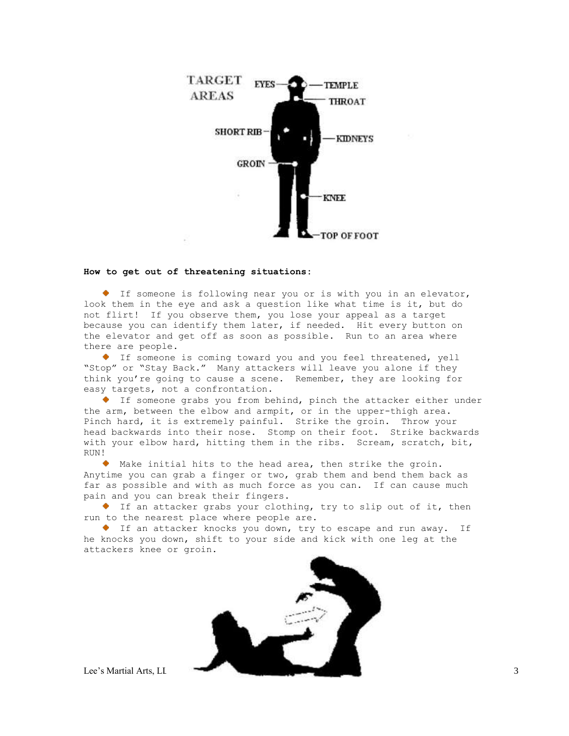

## **How to get out of threatening situations:**

 If someone is following near you or is with you in an elevator, look them in the eye and ask a question like what time is it, but do not flirt! If you observe them, you lose your appeal as a target because you can identify them later, if needed. Hit every button on the elevator and get off as soon as possible. Run to an area where there are people.

 If someone is coming toward you and you feel threatened, yell "Stop" or "Stay Back." Many attackers will leave you alone if they think you're going to cause a scene. Remember, they are looking for easy targets, not a confrontation.

 If someone grabs you from behind, pinch the attacker either under the arm, between the elbow and armpit, or in the upper-thigh area. Pinch hard, it is extremely painful. Strike the groin. Throw your head backwards into their nose. Stomp on their foot. Strike backwards with your elbow hard, hitting them in the ribs. Scream, scratch, bit, RUN!

 Make initial hits to the head area, then strike the groin. Anytime you can grab a finger or two, grab them and bend them back as far as possible and with as much force as you can. If can cause much pain and you can break their fingers.

 If an attacker grabs your clothing, try to slip out of it, then run to the nearest place where people are.

 If an attacker knocks you down, try to escape and run away. If he knocks you down, shift to your side and kick with one leg at the attackers knee or groin.